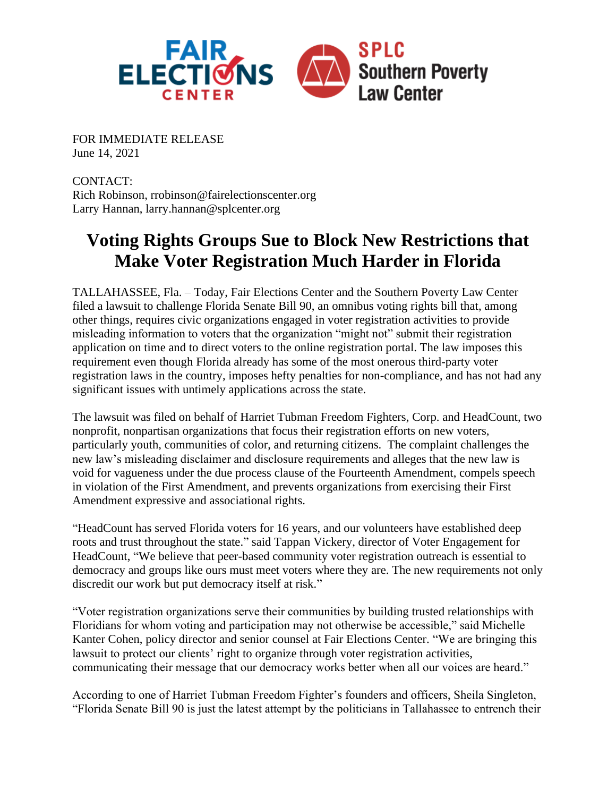

FOR IMMEDIATE RELEASE June 14, 2021

CONTACT: Rich Robinson, [rrobinson@fairelectionscenter.org](mailto:rrobinson@fairelectionscenter.org) Larry Hannan, [larry.hannan@splcenter.org](mailto:larry.hannan@splcenter.org)

## **Voting Rights Groups Sue to Block New Restrictions that Make Voter Registration Much Harder in Florida**

TALLAHASSEE, Fla. – Today, Fair Elections Center and the Southern Poverty Law Center filed a lawsuit to challenge Florida Senate Bill 90, an omnibus voting rights bill that, among other things, requires civic organizations engaged in voter registration activities to provide misleading information to voters that the organization "might not" submit their registration application on time and to direct voters to the online registration portal. The law imposes this requirement even though Florida already has some of the most onerous third-party voter registration laws in the country, imposes hefty penalties for non-compliance, and has not had any significant issues with untimely applications across the state.

The lawsuit was filed on behalf of Harriet Tubman Freedom Fighters, Corp. and HeadCount, two nonprofit, nonpartisan organizations that focus their registration efforts on new voters, particularly youth, communities of color, and returning citizens. The complaint challenges the new law's misleading disclaimer and disclosure requirements and alleges that the new law is void for vagueness under the due process clause of the Fourteenth Amendment, compels speech in violation of the First Amendment, and prevents organizations from exercising their First Amendment expressive and associational rights.

"HeadCount has served Florida voters for 16 years, and our volunteers have established deep roots and trust throughout the state." said Tappan Vickery, director of Voter Engagement for HeadCount, "We believe that peer-based community voter registration outreach is essential to democracy and groups like ours must meet voters where they are. The new requirements not only discredit our work but put democracy itself at risk."

"Voter registration organizations serve their communities by building trusted relationships with Floridians for whom voting and participation may not otherwise be accessible," said Michelle Kanter Cohen, policy director and senior counsel at Fair Elections Center. "We are bringing this lawsuit to protect our clients' right to organize through voter registration activities, communicating their message that our democracy works better when all our voices are heard."

According to one of Harriet Tubman Freedom Fighter's founders and officers, Sheila Singleton, "Florida Senate Bill 90 is just the latest attempt by the politicians in Tallahassee to entrench their